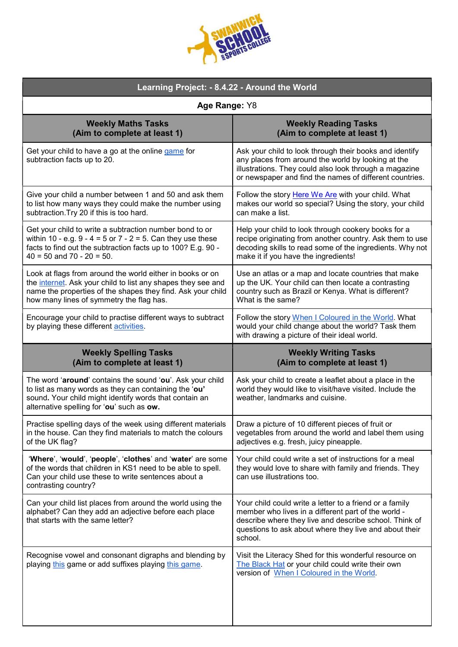| <b>ILLEGE</b><br>SCOL |
|-----------------------|
|-----------------------|

| Learning Project: - 8.4.22 - Around the World                                                                                                                                                                                        |                                                                                                                                                                                                                                               |  |
|--------------------------------------------------------------------------------------------------------------------------------------------------------------------------------------------------------------------------------------|-----------------------------------------------------------------------------------------------------------------------------------------------------------------------------------------------------------------------------------------------|--|
| Age Range: Y8                                                                                                                                                                                                                        |                                                                                                                                                                                                                                               |  |
| <b>Weekly Maths Tasks</b><br>(Aim to complete at least 1)                                                                                                                                                                            | <b>Weekly Reading Tasks</b><br>(Aim to complete at least 1)                                                                                                                                                                                   |  |
| Get your child to have a go at the online game for<br>subtraction facts up to 20.                                                                                                                                                    | Ask your child to look through their books and identify<br>any places from around the world by looking at the<br>illustrations. They could also look through a magazine<br>or newspaper and find the names of different countries.            |  |
| Give your child a number between 1 and 50 and ask them<br>to list how many ways they could make the number using<br>subtraction. Try 20 if this is too hard.                                                                         | Follow the story Here We Are with your child. What<br>makes our world so special? Using the story, your child<br>can make a list.                                                                                                             |  |
| Get your child to write a subtraction number bond to or<br>within 10 - e.g. $9 - 4 = 5$ or $7 - 2 = 5$ . Can they use these<br>facts to find out the subtraction facts up to 100? E.g. 90 -<br>$40 = 50$ and $70 - 20 = 50$ .        | Help your child to look through cookery books for a<br>recipe originating from another country. Ask them to use<br>decoding skills to read some of the ingredients. Why not<br>make it if you have the ingredients!                           |  |
| Look at flags from around the world either in books or on<br>the internet. Ask your child to list any shapes they see and<br>name the properties of the shapes they find. Ask your child<br>how many lines of symmetry the flag has. | Use an atlas or a map and locate countries that make<br>up the UK. Your child can then locate a contrasting<br>country such as Brazil or Kenya. What is different?<br>What is the same?                                                       |  |
| Encourage your child to practise different ways to subtract<br>by playing these different activities.                                                                                                                                | Follow the story When I Coloured in the World. What<br>would your child change about the world? Task them<br>with drawing a picture of their ideal world.                                                                                     |  |
| <b>Weekly Spelling Tasks</b><br>(Aim to complete at least 1)                                                                                                                                                                         | <b>Weekly Writing Tasks</b><br>(Aim to complete at least 1)                                                                                                                                                                                   |  |
| The word 'around' contains the sound 'ou'. Ask your child<br>to list as many words as they can containing the 'ou'<br>sound. Your child might identify words that contain an<br>alternative spelling for 'ou' such as ow.            | Ask your child to create a leaflet about a place in the<br>world they would like to visit/have visited. Include the<br>weather, landmarks and cuisine.                                                                                        |  |
| Practise spelling days of the week using different materials<br>in the house. Can they find materials to match the colours<br>of the UK flag?                                                                                        | Draw a picture of 10 different pieces of fruit or<br>vegetables from around the world and label them using<br>adjectives e.g. fresh, juicy pineapple.                                                                                         |  |
| 'Where', 'would', 'people', 'clothes' and 'water' are some<br>of the words that children in KS1 need to be able to spell.<br>Can your child use these to write sentences about a<br>contrasting country?                             | Your child could write a set of instructions for a meal<br>they would love to share with family and friends. They<br>can use illustrations too.                                                                                               |  |
| Can your child list places from around the world using the<br>alphabet? Can they add an adjective before each place<br>that starts with the same letter?                                                                             | Your child could write a letter to a friend or a family<br>member who lives in a different part of the world -<br>describe where they live and describe school. Think of<br>questions to ask about where they live and about their<br>school. |  |
| Recognise vowel and consonant digraphs and blending by<br>playing this game or add suffixes playing this game.                                                                                                                       | Visit the Literacy Shed for this wonderful resource on<br>The Black Hat or your child could write their own<br>version of When I Coloured in the World.                                                                                       |  |